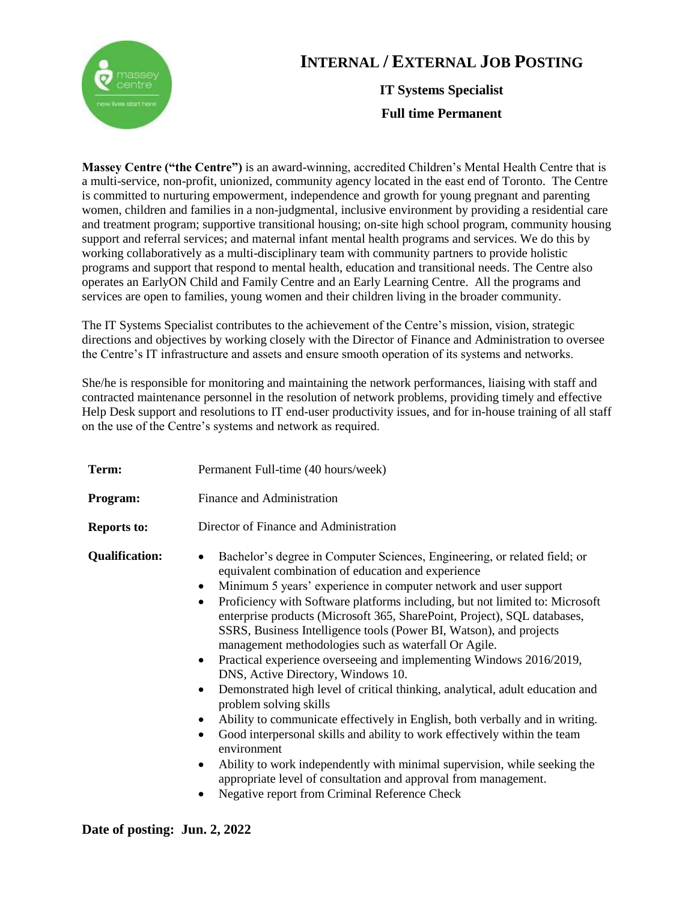

## **INTERNAL / EXTERNAL JOB POSTING**

**IT Systems Specialist Full time Permanent**

**Massey Centre ("the Centre")** is an award-winning, accredited Children's Mental Health Centre that is a multi-service, non-profit, unionized, community agency located in the east end of Toronto. The Centre is committed to nurturing empowerment, independence and growth for young pregnant and parenting women, children and families in a non-judgmental, inclusive environment by providing a residential care and treatment program; supportive transitional housing; on-site high school program, community housing support and referral services; and maternal infant mental health programs and services. We do this by working collaboratively as a multi-disciplinary team with community partners to provide holistic programs and support that respond to mental health, education and transitional needs. The Centre also operates an EarlyON Child and Family Centre and an Early Learning Centre. All the programs and services are open to families, young women and their children living in the broader community.

The IT Systems Specialist contributes to the achievement of the Centre's mission, vision, strategic directions and objectives by working closely with the Director of Finance and Administration to oversee the Centre's IT infrastructure and assets and ensure smooth operation of its systems and networks.

She/he is responsible for monitoring and maintaining the network performances, liaising with staff and contracted maintenance personnel in the resolution of network problems, providing timely and effective Help Desk support and resolutions to IT end-user productivity issues, and for in-house training of all staff on the use of the Centre's systems and network as required.

| Term:                 | Permanent Full-time (40 hours/week)                                                                                                                                                                                                                                                                                                                                                                                                                                                                                                                                                                                                                                                                                                                                                                                                                                                                                                                                                                                                                                                                                                                                                                                                                                                                                                                                                                                                   |
|-----------------------|---------------------------------------------------------------------------------------------------------------------------------------------------------------------------------------------------------------------------------------------------------------------------------------------------------------------------------------------------------------------------------------------------------------------------------------------------------------------------------------------------------------------------------------------------------------------------------------------------------------------------------------------------------------------------------------------------------------------------------------------------------------------------------------------------------------------------------------------------------------------------------------------------------------------------------------------------------------------------------------------------------------------------------------------------------------------------------------------------------------------------------------------------------------------------------------------------------------------------------------------------------------------------------------------------------------------------------------------------------------------------------------------------------------------------------------|
| Program:              | Finance and Administration                                                                                                                                                                                                                                                                                                                                                                                                                                                                                                                                                                                                                                                                                                                                                                                                                                                                                                                                                                                                                                                                                                                                                                                                                                                                                                                                                                                                            |
| <b>Reports to:</b>    | Director of Finance and Administration                                                                                                                                                                                                                                                                                                                                                                                                                                                                                                                                                                                                                                                                                                                                                                                                                                                                                                                                                                                                                                                                                                                                                                                                                                                                                                                                                                                                |
| <b>Qualification:</b> | Bachelor's degree in Computer Sciences, Engineering, or related field; or<br>equivalent combination of education and experience<br>Minimum 5 years' experience in computer network and user support<br>٠<br>Proficiency with Software platforms including, but not limited to: Microsoft<br>$\bullet$<br>enterprise products (Microsoft 365, SharePoint, Project), SQL databases,<br>SSRS, Business Intelligence tools (Power BI, Watson), and projects<br>management methodologies such as waterfall Or Agile.<br>Practical experience overseeing and implementing Windows 2016/2019,<br>$\bullet$<br>DNS, Active Directory, Windows 10.<br>Demonstrated high level of critical thinking, analytical, adult education and<br>٠<br>problem solving skills<br>Ability to communicate effectively in English, both verbally and in writing.<br>٠<br>Good interpersonal skills and ability to work effectively within the team<br>environment<br>Ability to work independently with minimal supervision, while seeking the<br>٠<br>appropriate level of consultation and approval from management.<br>$\mathbf{M}$ $\mathbf{C}$ $\mathbf{C}$ $\mathbf{C}$ $\mathbf{C}$ $\mathbf{A}$ $\mathbf{D}$ $\mathbf{C}$ $\mathbf{C}$ $\mathbf{C}$ $\mathbf{C}$ $\mathbf{C}$ $\mathbf{C}$ $\mathbf{C}$ $\mathbf{C}$ $\mathbf{C}$ $\mathbf{C}$ $\mathbf{C}$ $\mathbf{C}$ $\mathbf{C}$ $\mathbf{C}$ $\mathbf{C}$ $\mathbf{C}$ $\mathbf{C}$ $\mathbf{$ |

Negative report from Criminal Reference Check